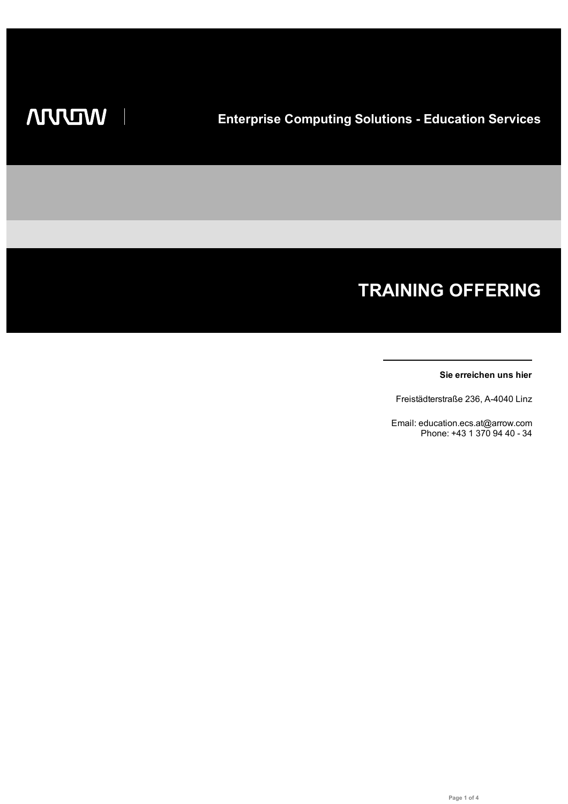# **TRAINING OFFERING**

#### **Sie erreichen uns hier**

Freistädterstraße 236, A-4040 Linz

Email: education.ecs.at@arrow.com Phone: +43 1 370 94 40 - 34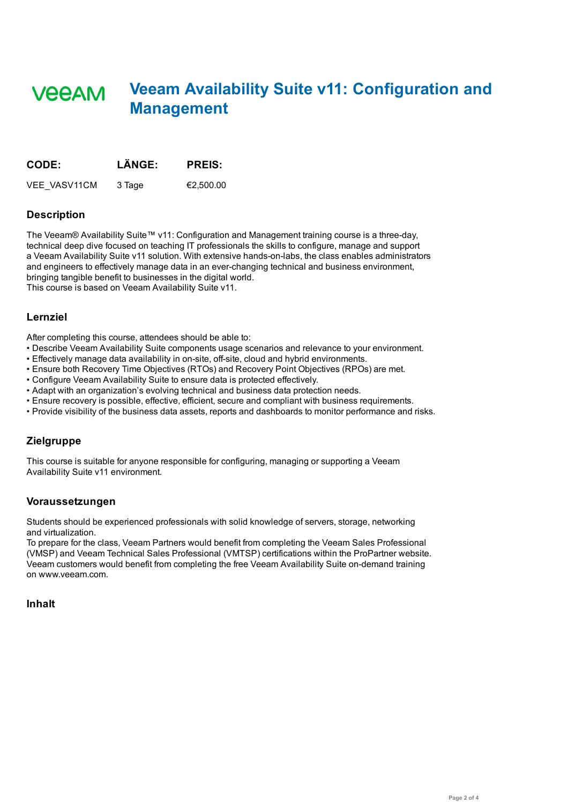## **Veeam Availability Suite v11: Configuration and VEEAM Management**

| <b>CODE:</b>        | LÄNGE: | <b>PREIS:</b> |
|---------------------|--------|---------------|
| <b>VEE VASV11CM</b> | 3 Tage | €2.500.00     |

#### **Description**

The Veeam® Availability Suite™ v11: Configuration and Management training course is a three-day, technical deep dive focused on teaching IT professionals the skills to configure, manage and support a Veeam Availability Suite v11 solution. With extensive hands-on-labs, the class enables administrators and engineers to effectively manage data in an ever-changing technical and business environment, bringing tangible benefit to businesses in the digital world. This course is based on Veeam Availability Suite v11.

**Lernziel**

After completing this course, attendees should be able to:

- Describe Veeam Availability Suite components usage scenarios and relevance to your environment.
- Effectively manage data availability in on-site, off-site, cloud and hybrid environments.
- Ensure both Recovery Time Objectives (RTOs) and Recovery Point Objectives (RPOs) are met.
- Configure Veeam Availability Suite to ensure data is protected effectively.
- Adapt with an organization's evolving technical and business data protection needs.
- Ensure recovery is possible, effective, efficient, secure and compliant with business requirements.
- Provide visibility of the business data assets, reports and dashboards to monitor performance and risks.

## **Zielgruppe**

This course is suitable for anyone responsible for configuring, managing or supporting a Veeam Availability Suite v11 environment.

#### **Voraussetzungen**

Students should be experienced professionals with solid knowledge of servers, storage, networking and virtualization.

To prepare for the class, Veeam Partners would benefit from completing the Veeam Sales Professional (VMSP) and Veeam Technical Sales Professional (VMTSP) certifications within the ProPartner website. Veeam customers would benefit from completing the free Veeam Availability Suite on-demand training on www.veeam.com.

**Inhalt**